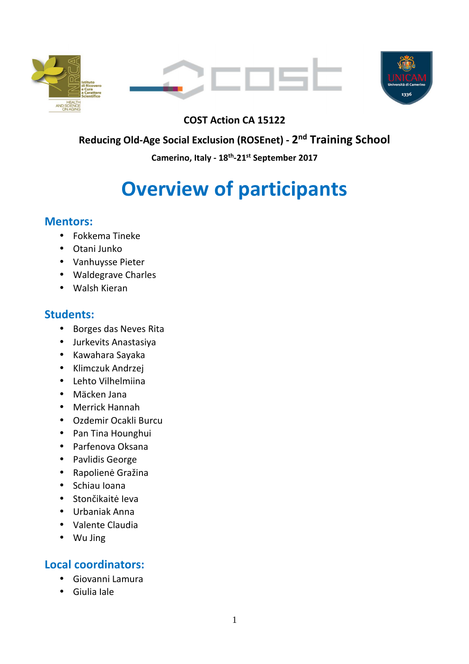





# **COST Action CA 15122**

# **Reducing Old-Age Social Exclusion (ROSEnet) - 2 nd Training School**

**Camerino, Italy - 18th-21st September 2017** 

# **Overview of participants**

## **Mentors:**

- Fokkema Tineke
- Otani Junko
- Vanhuysse Pieter
- Waldegrave Charles
- Walsh Kieran

# **Students:**

- Borges das Neves Rita
- Jurkevits Anastasiya
- Kawahara Sayaka
- Klimczuk Andrzej
- Lehto Vilhelmiina
- Mäcken Jana
- Merrick Hannah
- Ozdemir Ocakli Burcu
- Pan Tina Hounghui
- Parfenova Oksana
- Pavlidis George
- Rapolienė Gražina
- Schiau Ioana
- Stončikaitė Ieva
- Urbaniak Anna
- Valente Claudia
- Wu Jing

# **Local coordinators:**

- Giovanni Lamura
- Giulia Iale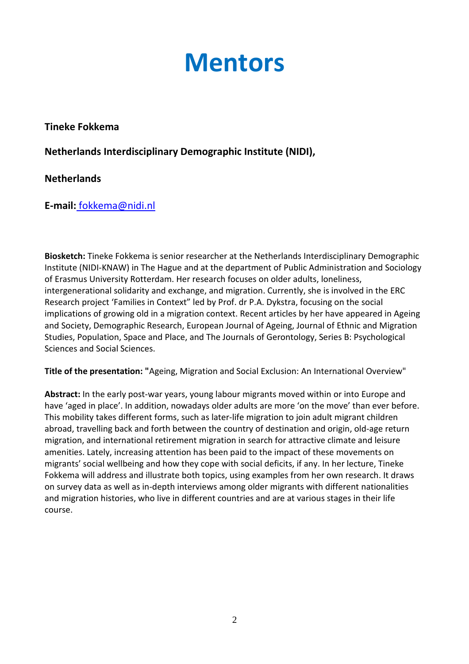# **Mentors**

#### **Tineke Fokkema**

**Netherlands Interdisciplinary Demographic Institute (NIDI),** 

## **Netherlands**

**E-mail:** fokkema@nidi.nl

**Biosketch:** Tineke Fokkema is senior researcher at the Netherlands Interdisciplinary Demographic Institute (NIDI-KNAW) in The Hague and at the department of Public Administration and Sociology of Erasmus University Rotterdam. Her research focuses on older adults, loneliness, intergenerational solidarity and exchange, and migration. Currently, she is involved in the ERC Research project 'Families in Context" led by Prof. dr P.A. Dykstra, focusing on the social implications of growing old in a migration context. Recent articles by her have appeared in Ageing and Society, Demographic Research, European Journal of Ageing, Journal of Ethnic and Migration Studies, Population, Space and Place, and The Journals of Gerontology, Series B: Psychological Sciences and Social Sciences.

**Title of the presentation: "**Ageing, Migration and Social Exclusion: An International Overview"

**Abstract:** In the early post-war years, young labour migrants moved within or into Europe and have 'aged in place'. In addition, nowadays older adults are more 'on the move' than ever before. This mobility takes different forms, such as later-life migration to join adult migrant children abroad, travelling back and forth between the country of destination and origin, old-age return migration, and international retirement migration in search for attractive climate and leisure amenities. Lately, increasing attention has been paid to the impact of these movements on migrants' social wellbeing and how they cope with social deficits, if any. In her lecture, Tineke Fokkema will address and illustrate both topics, using examples from her own research. It draws on survey data as well as in-depth interviews among older migrants with different nationalities and migration histories, who live in different countries and are at various stages in their life course.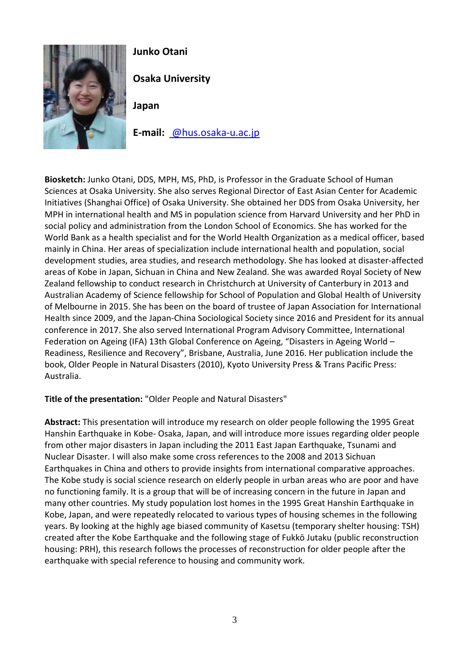

# **Junko Otani**

**Osaka University** 

**Japan** 

**E-mail:** @hus.osaka-u.ac.jp

**Biosketch:** Junko Otani, DDS, MPH, MS, PhD, is Professor in the Graduate School of Human Sciences at Osaka University. She also serves Regional Director of East Asian Center for Academic Initiatives (Shanghai Office) of Osaka University. She obtained her DDS from Osaka University, her MPH in international health and MS in population science from Harvard University and her PhD in social policy and administration from the London School of Economics. She has worked for the World Bank as a health specialist and for the World Health Organization as a medical officer, based mainly in China. Her areas of specialization include international health and population, social development studies, area studies, and research methodology. She has looked at disaster-affected areas of Kobe in Japan, Sichuan in China and New Zealand. She was awarded Royal Society of New Zealand fellowship to conduct research in Christchurch at University of Canterbury in 2013 and Australian Academy of Science fellowship for School of Population and Global Health of University of Melbourne in 2015. She has been on the board of trustee of Japan Association for International Health since 2009, and the Japan-China Sociological Society since 2016 and President for its annual conference in 2017. She also served International Program Advisory Committee, International Federation on Ageing (IFA) 13th Global Conference on Ageing, "Disasters in Ageing World – Readiness, Resilience and Recovery", Brisbane, Australia, June 2016. Her publication include the book, Older People in Natural Disasters (2010), Kyoto University Press & Trans Pacific Press: Australia.

**Title of the presentation:** "Older People and Natural Disasters"

**Abstract:** This presentation will introduce my research on older people following the 1995 Great Hanshin Earthquake in Kobe- Osaka, Japan, and will introduce more issues regarding older people from other major disasters in Japan including the 2011 East Japan Earthquake, Tsunami and Nuclear Disaster. I will also make some cross references to the 2008 and 2013 Sichuan Earthquakes in China and others to provide insights from international comparative approaches. The Kobe study is social science research on elderly people in urban areas who are poor and have no functioning family. It is a group that will be of increasing concern in the future in Japan and many other countries. My study population lost homes in the 1995 Great Hanshin Earthquake in Kobe, Japan, and were repeatedly relocated to various types of housing schemes in the following years. By looking at the highly age biased community of Kasetsu (temporary shelter housing: TSH) created after the Kobe Earthquake and the following stage of Fukkō Jutaku (public reconstruction housing: PRH), this research follows the processes of reconstruction for older people after the earthquake with special reference to housing and community work.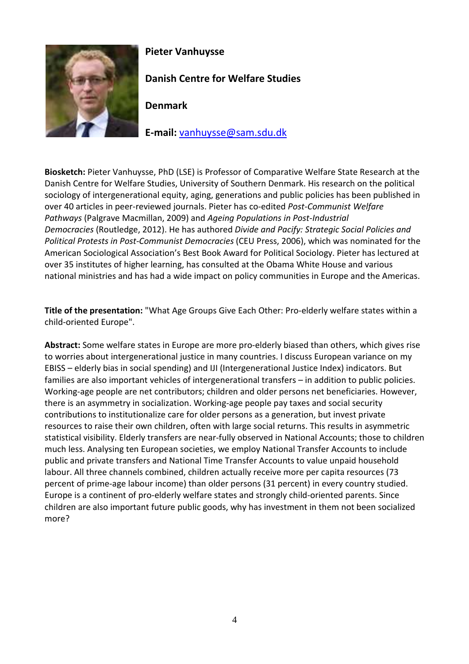

## **Pieter Vanhuysse**

**Danish Centre for Welfare Studies** 

**Denmark** 

**E-mail:** vanhuysse@sam.sdu.dk

**Biosketch:** Pieter Vanhuysse, PhD (LSE) is Professor of Comparative Welfare State Research at the Danish Centre for Welfare Studies, University of Southern Denmark. His research on the political sociology of intergenerational equity, aging, generations and public policies has been published in over 40 articles in peer-reviewed journals. Pieter has co-edited *Post-Communist Welfare Pathways* (Palgrave Macmillan, 2009) and *Ageing Populations in Post-Industrial Democracies* (Routledge, 2012). He has authored *Divide and Pacify: Strategic Social Policies and Political Protests in Post-Communist Democracies* (CEU Press, 2006), which was nominated for the American Sociological Association's Best Book Award for Political Sociology. Pieter has lectured at over 35 institutes of higher learning, has consulted at the Obama White House and various national ministries and has had a wide impact on policy communities in Europe and the Americas.

**Title of the presentation:** "What Age Groups Give Each Other: Pro-elderly welfare states within a child-oriented Europe".

**Abstract:** Some welfare states in Europe are more pro-elderly biased than others, which gives rise to worries about intergenerational justice in many countries. I discuss European variance on my EBISS – elderly bias in social spending) and IJI (Intergenerational Justice Index) indicators. But families are also important vehicles of intergenerational transfers – in addition to public policies. Working-age people are net contributors; children and older persons net beneficiaries. However, there is an asymmetry in socialization. Working-age people pay taxes and social security contributions to institutionalize care for older persons as a generation, but invest private resources to raise their own children, often with large social returns. This results in asymmetric statistical visibility. Elderly transfers are near-fully observed in National Accounts; those to children much less. Analysing ten European societies, we employ National Transfer Accounts to include public and private transfers and National Time Transfer Accounts to value unpaid household labour. All three channels combined, children actually receive more per capita resources (73 percent of prime-age labour income) than older persons (31 percent) in every country studied. Europe is a continent of pro-elderly welfare states and strongly child-oriented parents. Since children are also important future public goods, why has investment in them not been socialized more?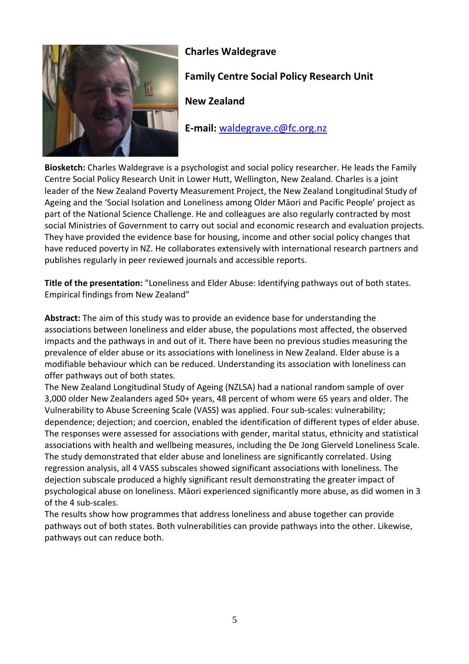

## **Charles Waldegrave**

# **Family Centre Social Policy Research Unit**

**New Zealand** 

**E-mail:** waldegrave.c@fc.org.nz

**Biosketch:** Charles Waldegrave is a psychologist and social policy researcher. He leads the Family Centre Social Policy Research Unit in Lower Hutt, Wellington, New Zealand. Charles is a joint leader of the New Zealand Poverty Measurement Project, the New Zealand Longitudinal Study of Ageing and the 'Social Isolation and Loneliness among Older Māori and Pacific People' project as part of the National Science Challenge. He and colleagues are also regularly contracted by most social Ministries of Government to carry out social and economic research and evaluation projects. They have provided the evidence base for housing, income and other social policy changes that have reduced poverty in NZ. He collaborates extensively with international research partners and publishes regularly in peer reviewed journals and accessible reports.

**Title of the presentation:** "Loneliness and Elder Abuse: Identifying pathways out of both states. Empirical findings from New Zealand"

**Abstract:** The aim of this study was to provide an evidence base for understanding the associations between loneliness and elder abuse, the populations most affected, the observed impacts and the pathways in and out of it. There have been no previous studies measuring the prevalence of elder abuse or its associations with loneliness in New Zealand. Elder abuse is a modifiable behaviour which can be reduced. Understanding its association with loneliness can offer pathways out of both states.

The New Zealand Longitudinal Study of Ageing (NZLSA) had a national random sample of over 3,000 older New Zealanders aged 50+ years, 48 percent of whom were 65 years and older. The Vulnerability to Abuse Screening Scale (VASS) was applied. Four sub-scales: vulnerability; dependence; dejection; and coercion, enabled the identification of different types of elder abuse. The responses were assessed for associations with gender, marital status, ethnicity and statistical associations with health and wellbeing measures, including the De Jong Gierveld Loneliness Scale. The study demonstrated that elder abuse and loneliness are significantly correlated. Using regression analysis, all 4 VASS subscales showed significant associations with loneliness. The dejection subscale produced a highly significant result demonstrating the greater impact of psychological abuse on loneliness. Māori experienced significantly more abuse, as did women in 3 of the 4 sub-scales.

The results show how programmes that address loneliness and abuse together can provide pathways out of both states. Both vulnerabilities can provide pathways into the other. Likewise, pathways out can reduce both.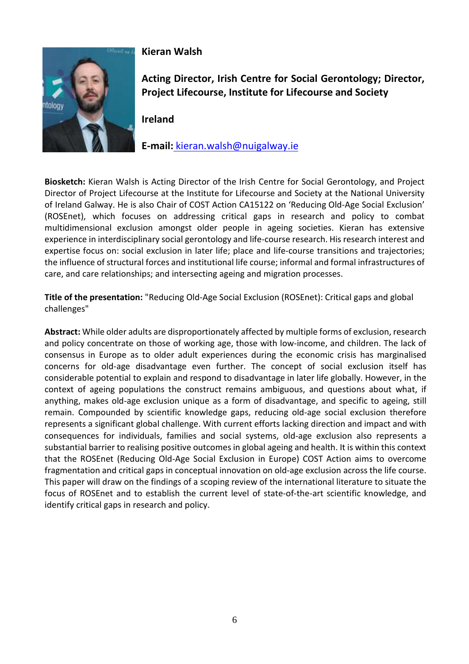

### **Kieran Walsh**

**Acting Director, Irish Centre for Social Gerontology; Director, Project Lifecourse, Institute for Lifecourse and Society** 

**Ireland** 

**E-mail:** kieran.walsh@nuigalway.ie

**Biosketch:** Kieran Walsh is Acting Director of the Irish Centre for Social Gerontology, and Project Director of Project Lifecourse at the Institute for Lifecourse and Society at the National University of Ireland Galway. He is also Chair of COST Action CA15122 on 'Reducing Old-Age Social Exclusion' (ROSEnet), which focuses on addressing critical gaps in research and policy to combat multidimensional exclusion amongst older people in ageing societies. Kieran has extensive experience in interdisciplinary social gerontology and life-course research. His research interest and expertise focus on: social exclusion in later life; place and life-course transitions and trajectories; the influence of structural forces and institutional life course; informal and formal infrastructures of care, and care relationships; and intersecting ageing and migration processes.

**Title of the presentation:** "Reducing Old-Age Social Exclusion (ROSEnet): Critical gaps and global challenges"

**Abstract:** While older adults are disproportionately affected by multiple forms of exclusion, research and policy concentrate on those of working age, those with low-income, and children. The lack of consensus in Europe as to older adult experiences during the economic crisis has marginalised concerns for old-age disadvantage even further. The concept of social exclusion itself has considerable potential to explain and respond to disadvantage in later life globally. However, in the context of ageing populations the construct remains ambiguous, and questions about what, if anything, makes old-age exclusion unique as a form of disadvantage, and specific to ageing, still remain. Compounded by scientific knowledge gaps, reducing old-age social exclusion therefore represents a significant global challenge. With current efforts lacking direction and impact and with consequences for individuals, families and social systems, old-age exclusion also represents a substantial barrier to realising positive outcomes in global ageing and health. It is within this context that the ROSEnet (Reducing Old-Age Social Exclusion in Europe) COST Action aims to overcome fragmentation and critical gaps in conceptual innovation on old-age exclusion across the life course. This paper will draw on the findings of a scoping review of the international literature to situate the focus of ROSEnet and to establish the current level of state-of-the-art scientific knowledge, and identify critical gaps in research and policy.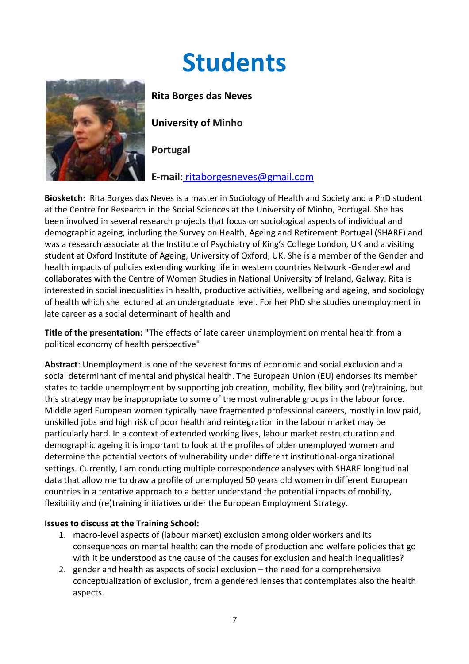# **Students**



**Rita Borges das Neves** 

**University of Minho** 

**Portugal** 

**E-mail**: ritaborgesneves@gmail.com

**Biosketch:** Rita Borges das Neves is a master in Sociology of Health and Society and a PhD student at the Centre for Research in the Social Sciences at the University of Minho, Portugal. She has been involved in several research projects that focus on sociological aspects of individual and demographic ageing, including the Survey on Health, Ageing and Retirement Portugal (SHARE) and was a research associate at the Institute of Psychiatry of King's College London, UK and a visiting student at Oxford Institute of Ageing, University of Oxford, UK. She is a member of the Gender and health impacts of policies extending working life in western countries Network -Genderewl and collaborates with the Centre of Women Studies in National University of Ireland, Galway. Rita is interested in social inequalities in health, productive activities, wellbeing and ageing, and sociology of health which she lectured at an undergraduate level. For her PhD she studies unemployment in late career as a social determinant of health and

**Title of the presentation: "**The effects of late career unemployment on mental health from a political economy of health perspective"

**Abstract**: Unemployment is one of the severest forms of economic and social exclusion and a social determinant of mental and physical health. The European Union (EU) endorses its member states to tackle unemployment by supporting job creation, mobility, flexibility and (re)training, but this strategy may be inappropriate to some of the most vulnerable groups in the labour force. Middle aged European women typically have fragmented professional careers, mostly in low paid, unskilled jobs and high risk of poor health and reintegration in the labour market may be particularly hard. In a context of extended working lives, labour market restructuration and demographic ageing it is important to look at the profiles of older unemployed women and determine the potential vectors of vulnerability under different institutional-organizational settings. Currently, I am conducting multiple correspondence analyses with SHARE longitudinal data that allow me to draw a profile of unemployed 50 years old women in different European countries in a tentative approach to a better understand the potential impacts of mobility, flexibility and (re)training initiatives under the European Employment Strategy.

#### **Issues to discuss at the Training School:**

- 1. macro-level aspects of (labour market) exclusion among older workers and its consequences on mental health: can the mode of production and welfare policies that go with it be understood as the cause of the causes for exclusion and health inequalities?
- 2. gender and health as aspects of social exclusion the need for a comprehensive conceptualization of exclusion, from a gendered lenses that contemplates also the health aspects.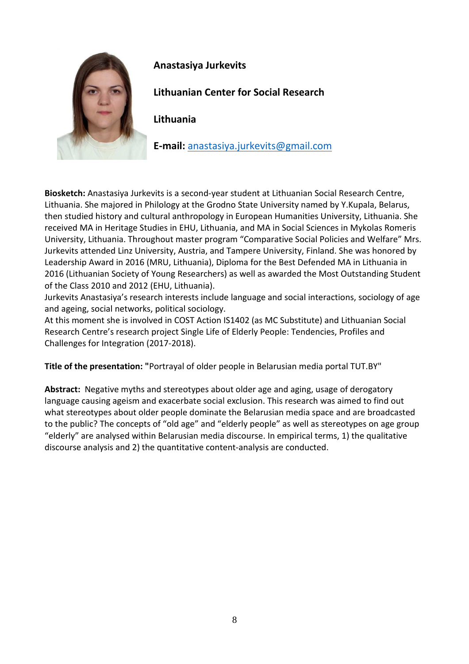

## **Anastasiya Jurkevits**

**Lithuanian Center for Social Research** 

**Lithuania** 

**E-mail:** anastasiya.jurkevits@gmail.com

**Biosketch:** Anastasiya Jurkevits is a second-year student at Lithuanian Social Research Centre, Lithuania. She majored in Philology at the Grodno State University named by Y.Kupala, Belarus, then studied history and cultural anthropology in European Humanities University, Lithuania. She received MA in Heritage Studies in EHU, Lithuania, and MA in Social Sciences in Mykolas Romeris University, Lithuania. Throughout master program "Comparative Social Policies and Welfare" Mrs. Jurkevits attended Linz University, Austria, and Tampere University, Finland. She was honored by Leadership Award in 2016 (MRU, Lithuania), Diploma for the Best Defended MA in Lithuania in 2016 (Lithuanian Society of Young Researchers) as well as awarded the Most Outstanding Student of the Class 2010 and 2012 (EHU, Lithuania).

Jurkevits Anastasiya's research interests include language and social interactions, sociology of age and ageing, social networks, political sociology.

At this moment she is involved in COST Action IS1402 (as MC Substitute) and Lithuanian Social Research Centre's research project Single Life of Elderly People: Tendencies, Profiles and Challenges for Integration (2017-2018).

**Title of the presentation: "**Portrayal of older people in Belarusian media portal TUT.BY"

**Abstract:** Negative myths and stereotypes about older age and aging, usage of derogatory language causing ageism and exacerbate social exclusion. This research was aimed to find out what stereotypes about older people dominate the Belarusian media space and are broadcasted to the public? The concepts of "old age" and "elderly people" as well as stereotypes on age group "elderly" are analysed within Belarusian media discourse. In empirical terms, 1) the qualitative discourse analysis and 2) the quantitative content-analysis are conducted.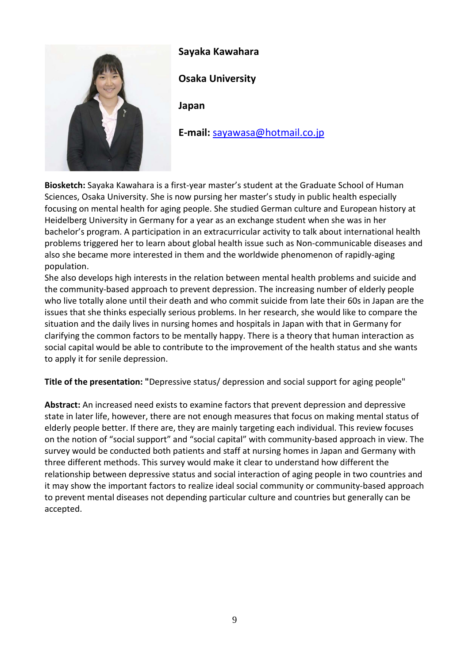

#### **Sayaka Kawahara**

**Osaka University** 

**Japan** 

**E-mail:** sayawasa@hotmail.co.jp

**Biosketch:** Sayaka Kawahara is a first-year master's student at the Graduate School of Human Sciences, Osaka University. She is now pursing her master's study in public health especially focusing on mental health for aging people. She studied German culture and European history at Heidelberg University in Germany for a year as an exchange student when she was in her bachelor's program. A participation in an extracurricular activity to talk about international health problems triggered her to learn about global health issue such as Non-communicable diseases and also she became more interested in them and the worldwide phenomenon of rapidly-aging population.

She also develops high interests in the relation between mental health problems and suicide and the community-based approach to prevent depression. The increasing number of elderly people who live totally alone until their death and who commit suicide from late their 60s in Japan are the issues that she thinks especially serious problems. In her research, she would like to compare the situation and the daily lives in nursing homes and hospitals in Japan with that in Germany for clarifying the common factors to be mentally happy. There is a theory that human interaction as social capital would be able to contribute to the improvement of the health status and she wants to apply it for senile depression.

**Title of the presentation: "**Depressive status/ depression and social support for aging people"

**Abstract:** An increased need exists to examine factors that prevent depression and depressive state in later life, however, there are not enough measures that focus on making mental status of elderly people better. If there are, they are mainly targeting each individual. This review focuses on the notion of "social support" and "social capital" with community-based approach in view. The survey would be conducted both patients and staff at nursing homes in Japan and Germany with three different methods. This survey would make it clear to understand how different the relationship between depressive status and social interaction of aging people in two countries and it may show the important factors to realize ideal social community or community-based approach to prevent mental diseases not depending particular culture and countries but generally can be accepted.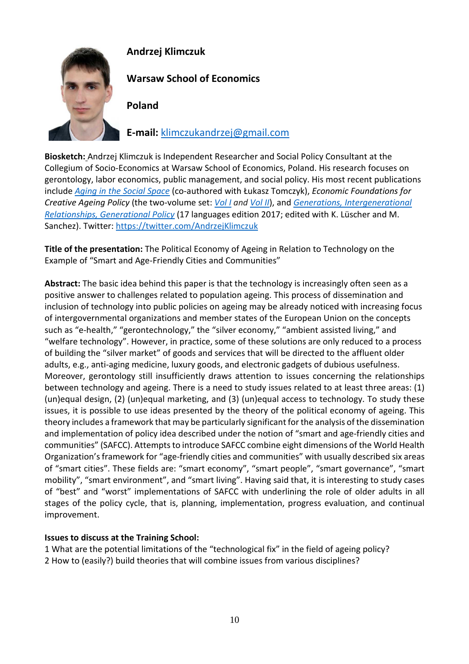

# **Andrzej Klimczuk**

**Warsaw School of Economics** 

**Poland** 

**E-mail:** klimczukandrzej@gmail.com

**Biosketch:** Andrzej Klimczuk is Independent Researcher and Social Policy Consultant at the Collegium of Socio-Economics at Warsaw School of Economics, Poland. His research focuses on gerontology, labor economics, public management, and social policy. His most recent publications include *Aging in the Social Space* (co-authored with Łukasz Tomczyk), *Economic Foundations for Creative Ageing Policy* (the two-volume set: *Vol I and Vol II*), and *Generations, Intergenerational Relationships, Generational Policy* (17 languages edition 2017; edited with K. Lüscher and M. Sanchez). Twitter: https://twitter.com/AndrzejKlimczuk

**Title of the presentation:** The Political Economy of Ageing in Relation to Technology on the Example of "Smart and Age-Friendly Cities and Communities"

**Abstract:** The basic idea behind this paper is that the technology is increasingly often seen as a positive answer to challenges related to population ageing. This process of dissemination and inclusion of technology into public policies on ageing may be already noticed with increasing focus of intergovernmental organizations and member states of the European Union on the concepts such as "e-health," "gerontechnology," the "silver economy," "ambient assisted living," and "welfare technology". However, in practice, some of these solutions are only reduced to a process of building the "silver market" of goods and services that will be directed to the affluent older adults, e.g., anti-aging medicine, luxury goods, and electronic gadgets of dubious usefulness. Moreover, gerontology still insufficiently draws attention to issues concerning the relationships between technology and ageing. There is a need to study issues related to at least three areas: (1) (un)equal design, (2) (un)equal marketing, and (3) (un)equal access to technology. To study these issues, it is possible to use ideas presented by the theory of the political economy of ageing. This theory includes a framework that may be particularly significant for the analysis of the dissemination and implementation of policy idea described under the notion of "smart and age-friendly cities and communities" (SAFCC). Attempts to introduce SAFCC combine eight dimensions of the World Health Organization's framework for "age-friendly cities and communities" with usually described six areas of "smart cities". These fields are: "smart economy", "smart people", "smart governance", "smart mobility", "smart environment", and "smart living". Having said that, it is interesting to study cases of "best" and "worst" implementations of SAFCC with underlining the role of older adults in all stages of the policy cycle, that is, planning, implementation, progress evaluation, and continual improvement.

## **Issues to discuss at the Training School:**

1 What are the potential limitations of the "technological fix" in the field of ageing policy? 2 How to (easily?) build theories that will combine issues from various disciplines?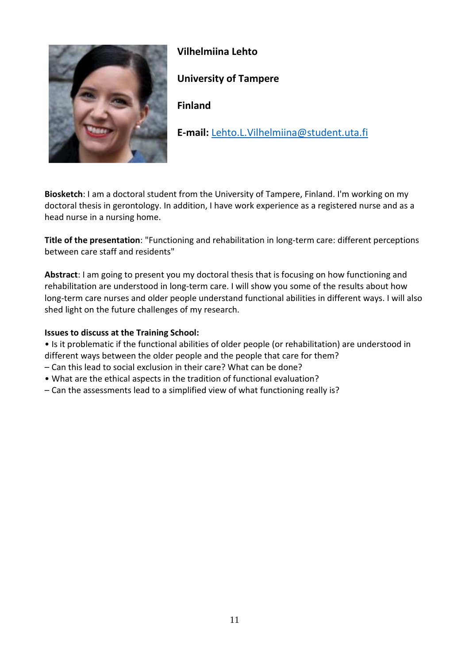

## **Vilhelmiina Lehto**

## **University of Tampere**

**Finland** 

**E-mail:** Lehto.L.Vilhelmiina@student.uta.fi

**Biosketch**: I am a doctoral student from the University of Tampere, Finland. I'm working on my doctoral thesis in gerontology. In addition, I have work experience as a registered nurse and as a head nurse in a nursing home.

**Title of the presentation**: "Functioning and rehabilitation in long-term care: different perceptions between care staff and residents"

**Abstract**: I am going to present you my doctoral thesis that is focusing on how functioning and rehabilitation are understood in long-term care. I will show you some of the results about how long-term care nurses and older people understand functional abilities in different ways. I will also shed light on the future challenges of my research.

#### **Issues to discuss at the Training School:**

• Is it problematic if the functional abilities of older people (or rehabilitation) are understood in different ways between the older people and the people that care for them?

- Can this lead to social exclusion in their care? What can be done?
- What are the ethical aspects in the tradition of functional evaluation?
- Can the assessments lead to a simplified view of what functioning really is?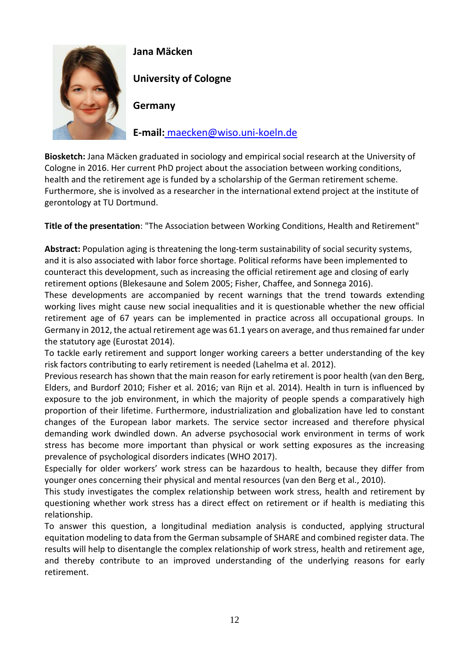

## **Jana Mäcken**

**University of Cologne** 

**Germany** 

**E-mail:** maecken@wiso.uni-koeln.de

**Biosketch:** Jana Mäcken graduated in sociology and empirical social research at the University of Cologne in 2016. Her current PhD project about the association between working conditions, health and the retirement age is funded by a scholarship of the German retirement scheme. Furthermore, she is involved as a researcher in the international extend project at the institute of gerontology at TU Dortmund.

**Title of the presentation**: "The Association between Working Conditions, Health and Retirement"

**Abstract:** Population aging is threatening the long-term sustainability of social security systems, and it is also associated with labor force shortage. Political reforms have been implemented to counteract this development, such as increasing the official retirement age and closing of early retirement options (Blekesaune and Solem 2005; Fisher, Chaffee, and Sonnega 2016).

These developments are accompanied by recent warnings that the trend towards extending working lives might cause new social inequalities and it is questionable whether the new official retirement age of 67 years can be implemented in practice across all occupational groups. In Germany in 2012, the actual retirement age was 61.1 years on average, and thus remained far under the statutory age (Eurostat 2014).

To tackle early retirement and support longer working careers a better understanding of the key risk factors contributing to early retirement is needed (Lahelma et al. 2012).

Previous research has shown that the main reason for early retirement is poor health (van den Berg, Elders, and Burdorf 2010; Fisher et al. 2016; van Rijn et al. 2014). Health in turn is influenced by exposure to the job environment, in which the majority of people spends a comparatively high proportion of their lifetime. Furthermore, industrialization and globalization have led to constant changes of the European labor markets. The service sector increased and therefore physical demanding work dwindled down. An adverse psychosocial work environment in terms of work stress has become more important than physical or work setting exposures as the increasing prevalence of psychological disorders indicates (WHO 2017).

Especially for older workers' work stress can be hazardous to health, because they differ from younger ones concerning their physical and mental resources (van den Berg et al., 2010).

This study investigates the complex relationship between work stress, health and retirement by questioning whether work stress has a direct effect on retirement or if health is mediating this relationship.

To answer this question, a longitudinal mediation analysis is conducted, applying structural equitation modeling to data from the German subsample of SHARE and combined register data. The results will help to disentangle the complex relationship of work stress, health and retirement age, and thereby contribute to an improved understanding of the underlying reasons for early retirement.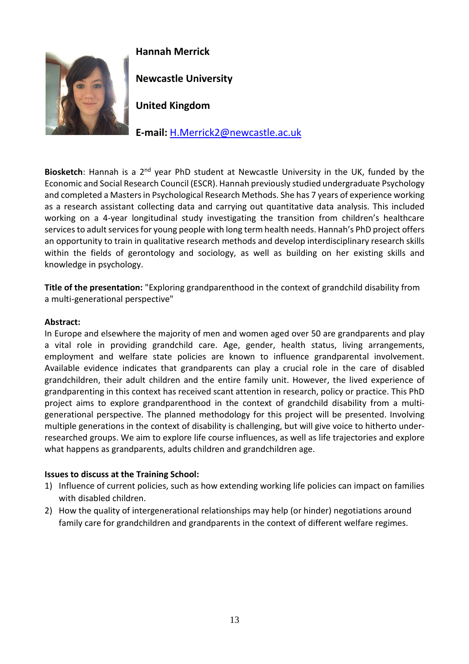

# **Hannah Merrick**

**Newcastle University** 

**United Kingdom** 

**E-mail:** H.Merrick2@newcastle.ac.uk

**Biosketch**: Hannah is a 2nd year PhD student at Newcastle University in the UK, funded by the Economic and Social Research Council (ESCR). Hannah previously studied undergraduate Psychology and completed a Masters in Psychological Research Methods. She has 7 years of experience working as a research assistant collecting data and carrying out quantitative data analysis. This included working on a 4-year longitudinal study investigating the transition from children's healthcare services to adult services for young people with long term health needs. Hannah's PhD project offers an opportunity to train in qualitative research methods and develop interdisciplinary research skills within the fields of gerontology and sociology, as well as building on her existing skills and knowledge in psychology.

**Title of the presentation:** "Exploring grandparenthood in the context of grandchild disability from a multi-generational perspective"

#### **Abstract:**

In Europe and elsewhere the majority of men and women aged over 50 are grandparents and play a vital role in providing grandchild care. Age, gender, health status, living arrangements, employment and welfare state policies are known to influence grandparental involvement. Available evidence indicates that grandparents can play a crucial role in the care of disabled grandchildren, their adult children and the entire family unit. However, the lived experience of grandparenting in this context has received scant attention in research, policy or practice. This PhD project aims to explore grandparenthood in the context of grandchild disability from a multigenerational perspective. The planned methodology for this project will be presented. Involving multiple generations in the context of disability is challenging, but will give voice to hitherto underresearched groups. We aim to explore life course influences, as well as life trajectories and explore what happens as grandparents, adults children and grandchildren age.

#### **Issues to discuss at the Training School:**

- 1) Influence of current policies, such as how extending working life policies can impact on families with disabled children.
- 2) How the quality of intergenerational relationships may help (or hinder) negotiations around family care for grandchildren and grandparents in the context of different welfare regimes.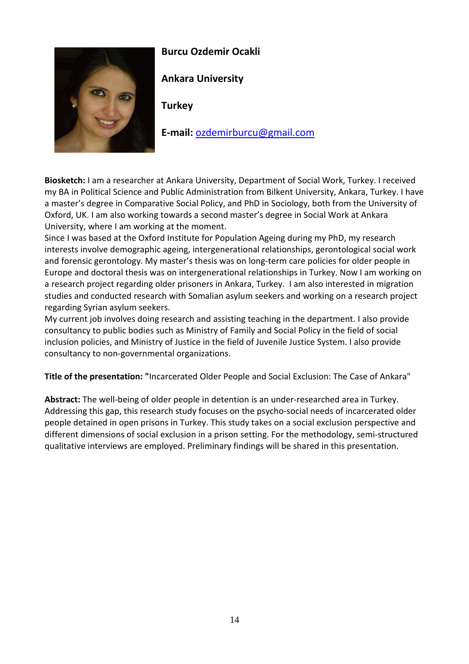

## **Burcu Ozdemir Ocakli**

**Ankara University** 

**Turkey** 

**E-mail:** ozdemirburcu@gmail.com

**Biosketch:** I am a researcher at Ankara University, Department of Social Work, Turkey. I received my BA in Political Science and Public Administration from Bilkent University, Ankara, Turkey. I have a master's degree in Comparative Social Policy, and PhD in Sociology, both from the University of Oxford, UK. I am also working towards a second master's degree in Social Work at Ankara University, where I am working at the moment.

Since I was based at the Oxford Institute for Population Ageing during my PhD, my research interests involve demographic ageing, intergenerational relationships, gerontological social work and forensic gerontology. My master's thesis was on long-term care policies for older people in Europe and doctoral thesis was on intergenerational relationships in Turkey. Now I am working on a research project regarding older prisoners in Ankara, Turkey. I am also interested in migration studies and conducted research with Somalian asylum seekers and working on a research project regarding Syrian asylum seekers.

My current job involves doing research and assisting teaching in the department. I also provide consultancy to public bodies such as Ministry of Family and Social Policy in the field of social inclusion policies, and Ministry of Justice in the field of Juvenile Justice System. I also provide consultancy to non-governmental organizations.

**Title of the presentation: "**Incarcerated Older People and Social Exclusion: The Case of Ankara"

**Abstract:** The well-being of older people in detention is an under-researched area in Turkey. Addressing this gap, this research study focuses on the psycho-social needs of incarcerated older people detained in open prisons in Turkey. This study takes on a social exclusion perspective and different dimensions of social exclusion in a prison setting. For the methodology, semi-structured qualitative interviews are employed. Preliminary findings will be shared in this presentation.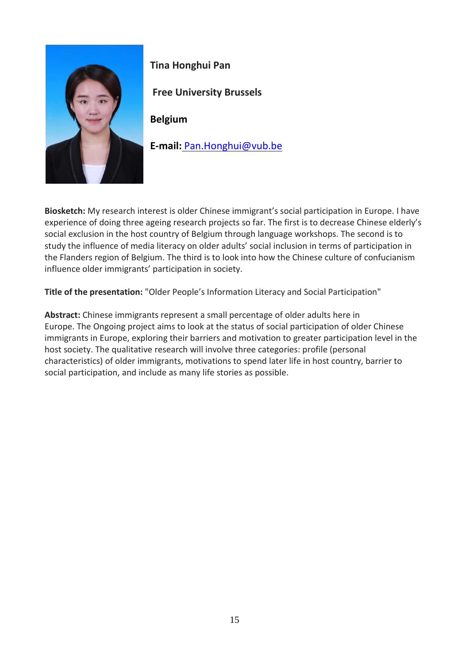

**Tina Honghui Pan** 

 **Free University Brussels**

**Belgium** 

**E-mail:** Pan.Honghui@vub.be

**Biosketch:** My research interest is older Chinese immigrant's social participation in Europe. I have experience of doing three ageing research projects so far. The first is to decrease Chinese elderly's social exclusion in the host country of Belgium through language workshops. The second is to study the influence of media literacy on older adults' social inclusion in terms of participation in the Flanders region of Belgium. The third is to look into how the Chinese culture of confucianism influence older immigrants' participation in society.

**Title of the presentation:** "Older People's Information Literacy and Social Participation"

**Abstract:** Chinese immigrants represent a small percentage of older adults here in Europe. The Ongoing project aims to look at the status of social participation of older Chinese immigrants in Europe, exploring their barriers and motivation to greater participation level in the host society. The qualitative research will involve three categories: profile (personal characteristics) of older immigrants, motivations to spend later life in host country, barrier to social participation, and include as many life stories as possible.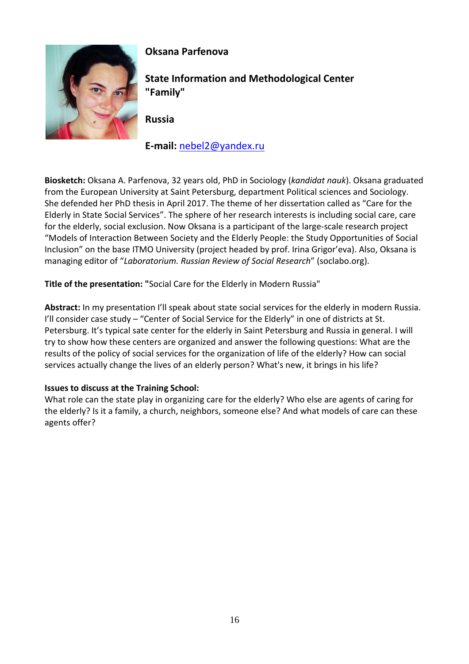

# **Oksana Parfenova**

**State Information and Methodological Center "Family"** 

**Russia** 

**E-mail:** nebel2@yandex.ru

**Biosketch:** Oksana A. Parfenova, 32 years old, PhD in Sociology (*kandidat nauk*). Oksana graduated from the European University at Saint Petersburg, department Political sciences and Sociology. She defended her PhD thesis in April 2017. The theme of her dissertation called as "Care for the Elderly in State Social Services". The sphere of her research interests is including social care, care for the elderly, social exclusion. Now Oksana is a participant of the large-scale research project "Models of Interaction Between Society and the Elderly People: the Study Opportunities of Social Inclusion" on the base ITMO University (project headed by prof. Irina Grigor'eva). Also, Oksana is managing editor of "*Laboratorium. Russian Review of Social Research*" (soclabo.org).

**Title of the presentation: "**Social Care for the Elderly in Modern Russia"

**Abstract:** In my presentation I'll speak about state social services for the elderly in modern Russia. I'll consider case study – "Center of Social Service for the Elderly" in one of districts at St. Petersburg. It's typical sate center for the elderly in Saint Petersburg and Russia in general. I will try to show how these centers are organized and answer the following questions: What are the results of the policy of social services for the organization of life of the elderly? How can social services actually change the lives of an elderly person? What's new, it brings in his life?

#### **Issues to discuss at the Training School:**

What role can the state play in organizing care for the elderly? Who else are agents of caring for the elderly? Is it a family, a church, neighbors, someone else? And what models of care can these agents offer?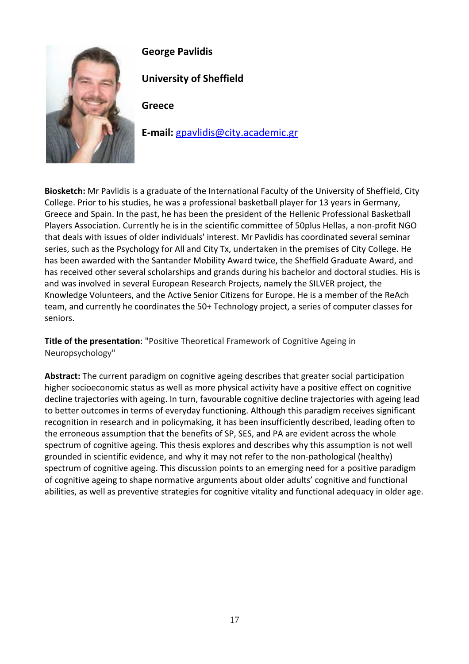

**George Pavlidis** 

**University of Sheffield** 

**Greece** 

**E-mail:** gpavlidis@city.academic.gr

**Biosketch:** Mr Pavlidis is a graduate of the International Faculty of the University of Sheffield, City College. Prior to his studies, he was a professional basketball player for 13 years in Germany, Greece and Spain. In the past, he has been the president of the Hellenic Professional Basketball Players Association. Currently he is in the scientific committee of 50plus Hellas, a non-profit NGO that deals with issues of older individuals' interest. Mr Pavlidis has coordinated several seminar series, such as the Psychology for All and City Tx, undertaken in the premises of City College. He has been awarded with the Santander Mobility Award twice, the Sheffield Graduate Award, and has received other several scholarships and grands during his bachelor and doctoral studies. His is and was involved in several European Research Projects, namely the SILVER project, the Knowledge Volunteers, and the Active Senior Citizens for Europe. He is a member of the ReAch team, and currently he coordinates the 50+ Technology project, a series of computer classes for seniors.

**Title of the presentation**: "Positive Theoretical Framework of Cognitive Ageing in Neuropsychology"

**Abstract:** The current paradigm on cognitive ageing describes that greater social participation higher socioeconomic status as well as more physical activity have a positive effect on cognitive decline trajectories with ageing. In turn, favourable cognitive decline trajectories with ageing lead to better outcomes in terms of everyday functioning. Although this paradigm receives significant recognition in research and in policymaking, it has been insufficiently described, leading often to the erroneous assumption that the benefits of SP, SES, and PA are evident across the whole spectrum of cognitive ageing. This thesis explores and describes why this assumption is not well grounded in scientific evidence, and why it may not refer to the non-pathological (healthy) spectrum of cognitive ageing. This discussion points to an emerging need for a positive paradigm of cognitive ageing to shape normative arguments about older adults' cognitive and functional abilities, as well as preventive strategies for cognitive vitality and functional adequacy in older age.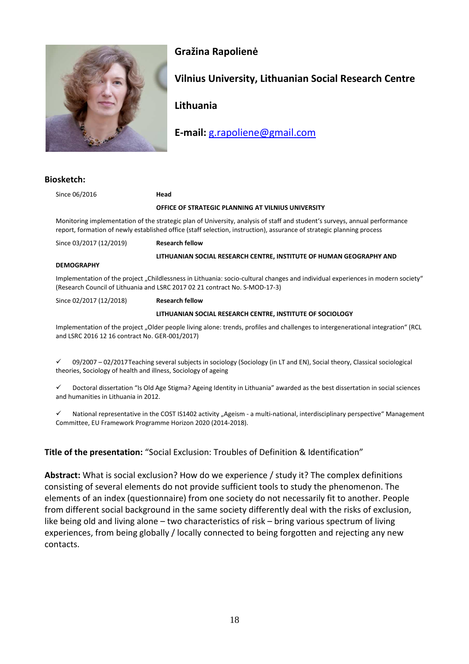

## **Gražina Rapolienė**

## **Vilnius University, Lithuanian Social Research Centre**

**Lithuania** 

**E-mail:** g.rapoliene@gmail.com

#### **Biosketch:**

| Since 06/2016                                                                                                                                                                                                                                       | Head                                                                |
|-----------------------------------------------------------------------------------------------------------------------------------------------------------------------------------------------------------------------------------------------------|---------------------------------------------------------------------|
|                                                                                                                                                                                                                                                     | OFFICE OF STRATEGIC PLANNING AT VILNIUS UNIVERSITY                  |
| Monitoring implementation of the strategic plan of University, analysis of staff and student's surveys, annual performance<br>report, formation of newly established office (staff selection, instruction), assurance of strategic planning process |                                                                     |
| Since 03/2017 (12/2019)                                                                                                                                                                                                                             | <b>Research fellow</b>                                              |
|                                                                                                                                                                                                                                                     | LITHUANIAN SOCIAL RESEARCH CENTRE, INSTITUTE OF HUMAN GEOGRAPHY AND |
| <b>DEMOGRAPHY</b>                                                                                                                                                                                                                                   |                                                                     |
| Implementation of the project "Childlessness in Lithuania: socio-cultural changes and individual experiences in modern society"<br>(Research Council of Lithuania and LSRC 2017 02 21 contract No. S-MOD-17-3)                                      |                                                                     |
| Since 02/2017 (12/2018)                                                                                                                                                                                                                             | <b>Research fellow</b>                                              |
|                                                                                                                                                                                                                                                     | LITHUANIAN SOCIAL RESEARCH CENTRE, INSTITUTE OF SOCIOLOGY           |
|                                                                                                                                                                                                                                                     |                                                                     |

Implementation of the project "Older people living alone: trends, profiles and challenges to intergenerational integration" (RCL and LSRC 2016 12 16 contract No. GER-001/2017)

 $\checkmark$  09/2007 – 02/2017 Teaching several subjects in sociology (Sociology (in LT and EN), Social theory, Classical sociological theories, Sociology of health and illness, Sociology of ageing

 $\checkmark$  Doctoral dissertation "Is Old Age Stigma? Ageing Identity in Lithuania" awarded as the best dissertation in social sciences and humanities in Lithuania in 2012.

 $\checkmark$  National representative in the COST IS1402 activity "Ageism - a multi-national, interdisciplinary perspective" Management Committee, EU Framework Programme Horizon 2020 (2014-2018).

#### **Title of the presentation:** "Social Exclusion: Troubles of Definition & Identification"

**Abstract:** What is social exclusion? How do we experience / study it? The complex definitions consisting of several elements do not provide sufficient tools to study the phenomenon. The elements of an index (questionnaire) from one society do not necessarily fit to another. People from different social background in the same society differently deal with the risks of exclusion, like being old and living alone – two characteristics of risk – bring various spectrum of living experiences, from being globally / locally connected to being forgotten and rejecting any new contacts.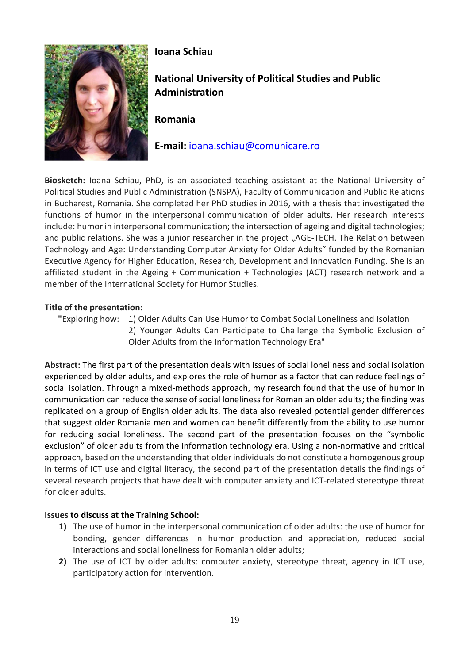

# **Ioana Schiau**

**National University of Political Studies and Public Administration** 

**Romania** 

**E-mail:** ioana.schiau@comunicare.ro

**Biosketch:** Ioana Schiau, PhD, is an associated teaching assistant at the National University of Political Studies and Public Administration (SNSPA), Faculty of Communication and Public Relations in Bucharest, Romania. She completed her PhD studies in 2016, with a thesis that investigated the functions of humor in the interpersonal communication of older adults. Her research interests include: humor in interpersonal communication; the intersection of ageing and digital technologies; and public relations. She was a junior researcher in the project "AGE-TECH. The Relation between Technology and Age: Understanding Computer Anxiety for Older Adults" funded by the Romanian Executive Agency for Higher Education, Research, Development and Innovation Funding. She is an affiliated student in the Ageing + Communication + Technologies (ACT) research network and a member of the International Society for Humor Studies.

#### **Title of the presentation:**

 **"**Exploring how: 1) Older Adults Can Use Humor to Combat Social Loneliness and Isolation 2) Younger Adults Can Participate to Challenge the Symbolic Exclusion of Older Adults from the Information Technology Era"

**Abstract:** The first part of the presentation deals with issues of social loneliness and social isolation experienced by older adults, and explores the role of humor as a factor that can reduce feelings of social isolation. Through a mixed-methods approach, my research found that the use of humor in communication can reduce the sense of social loneliness for Romanian older adults; the finding was replicated on a group of English older adults. The data also revealed potential gender differences that suggest older Romania men and women can benefit differently from the ability to use humor for reducing social loneliness. The second part of the presentation focuses on the "symbolic exclusion" of older adults from the information technology era. Using a non-normative and critical approach, based on the understanding that older individuals do not constitute a homogenous group in terms of ICT use and digital literacy, the second part of the presentation details the findings of several research projects that have dealt with computer anxiety and ICT-related stereotype threat for older adults.

#### **Issues to discuss at the Training School:**

- **1)** The use of humor in the interpersonal communication of older adults: the use of humor for bonding, gender differences in humor production and appreciation, reduced social interactions and social loneliness for Romanian older adults;
- **2)** The use of ICT by older adults: computer anxiety, stereotype threat, agency in ICT use, participatory action for intervention.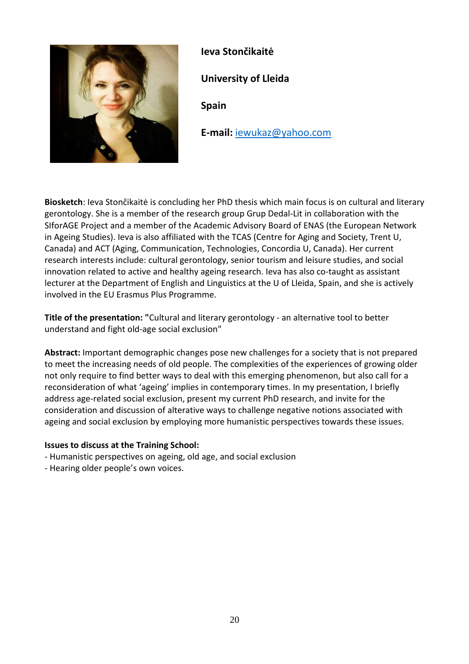

**Ieva Stončikaitė University of Lleida Spain E-mail:** iewukaz@yahoo.com

**Biosketch**: Ieva Stončikaitė is concluding her PhD thesis which main focus is on cultural and literary gerontology. She is a member of the research group Grup Dedal-Lit in collaboration with the SIforAGE Project and a member of the Academic Advisory Board of ENAS (the European Network in Ageing Studies). Ieva is also affiliated with the TCAS (Centre for Aging and Society, Trent U, Canada) and ACT (Aging, Communication, Technologies, Concordia U, Canada). Her current research interests include: cultural gerontology, senior tourism and leisure studies, and social innovation related to active and healthy ageing research. Ieva has also co-taught as assistant lecturer at the Department of English and Linguistics at the U of Lleida, Spain, and she is actively involved in the EU Erasmus Plus Programme.

**Title of the presentation: "**Cultural and literary gerontology - an alternative tool to better understand and fight old-age social exclusion"

**Abstract:** Important demographic changes pose new challenges for a society that is not prepared to meet the increasing needs of old people. The complexities of the experiences of growing older not only require to find better ways to deal with this emerging phenomenon, but also call for a reconsideration of what 'ageing' implies in contemporary times. In my presentation, I briefly address age-related social exclusion, present my current PhD research, and invite for the consideration and discussion of alterative ways to challenge negative notions associated with ageing and social exclusion by employing more humanistic perspectives towards these issues.

#### **Issues to discuss at the Training School:**

- Humanistic perspectives on ageing, old age, and social exclusion
- Hearing older people's own voices.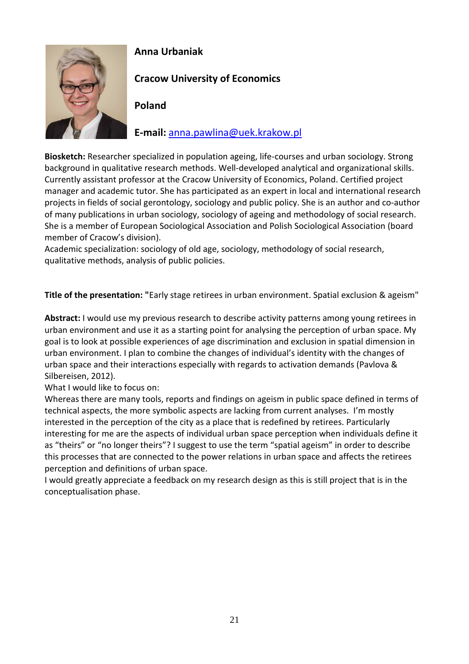

## **Anna Urbaniak**

# **Cracow University of Economics**

## **Poland**

## **E-mail:** anna.pawlina@uek.krakow.pl

**Biosketch:** Researcher specialized in population ageing, life-courses and urban sociology. Strong background in qualitative research methods. Well-developed analytical and organizational skills. Currently assistant professor at the Cracow University of Economics, Poland. Certified project manager and academic tutor. She has participated as an expert in local and international research projects in fields of social gerontology, sociology and public policy. She is an author and co-author of many publications in urban sociology, sociology of ageing and methodology of social research. She is a member of European Sociological Association and Polish Sociological Association (board member of Cracow's division).

Academic specialization: sociology of old age, sociology, methodology of social research, qualitative methods, analysis of public policies.

**Title of the presentation: "**Early stage retirees in urban environment. Spatial exclusion & ageism"

**Abstract:** I would use my previous research to describe activity patterns among young retirees in urban environment and use it as a starting point for analysing the perception of urban space. My goal is to look at possible experiences of age discrimination and exclusion in spatial dimension in urban environment. I plan to combine the changes of individual's identity with the changes of urban space and their interactions especially with regards to activation demands (Pavlova & Silbereisen, 2012).

What I would like to focus on:

Whereas there are many tools, reports and findings on ageism in public space defined in terms of technical aspects, the more symbolic aspects are lacking from current analyses. I'm mostly interested in the perception of the city as a place that is redefined by retirees. Particularly interesting for me are the aspects of individual urban space perception when individuals define it as "theirs" or "no longer theirs"? I suggest to use the term "spatial ageism" in order to describe this processes that are connected to the power relations in urban space and affects the retirees perception and definitions of urban space.

I would greatly appreciate a feedback on my research design as this is still project that is in the conceptualisation phase.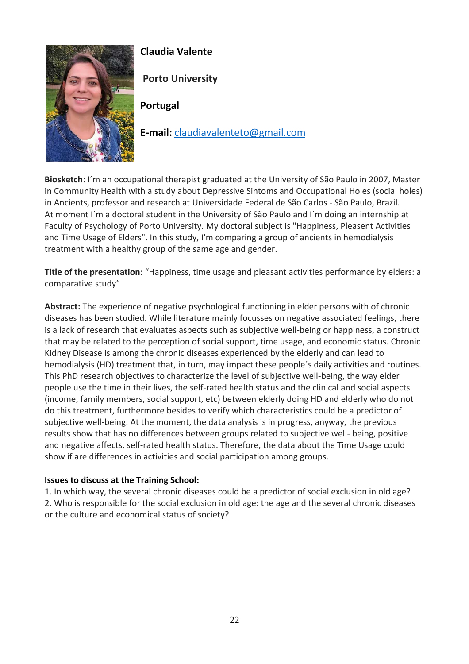

# **Claudia Valente**

 **Porto University**

**Portugal** 

**E-mail:** claudiavalenteto@gmail.com

**Biosketch**: I´m an occupational therapist graduated at the University of São Paulo in 2007, Master in Community Health with a study about Depressive Sintoms and Occupational Holes (social holes) in Ancients, professor and research at Universidade Federal de São Carlos - São Paulo, Brazil. At moment I´m a doctoral student in the University of São Paulo and I´m doing an internship at Faculty of Psychology of Porto University. My doctoral subject is "Happiness, Pleasent Activities and Time Usage of Elders". In this study, I'm comparing a group of ancients in hemodialysis treatment with a healthy group of the same age and gender.

**Title of the presentation**: "Happiness, time usage and pleasant activities performance by elders: a comparative study"

**Abstract:** The experience of negative psychological functioning in elder persons with of chronic diseases has been studied. While literature mainly focusses on negative associated feelings, there is a lack of research that evaluates aspects such as subjective well-being or happiness, a construct that may be related to the perception of social support, time usage, and economic status. Chronic Kidney Disease is among the chronic diseases experienced by the elderly and can lead to hemodialysis (HD) treatment that, in turn, may impact these people´s daily activities and routines. This PhD research objectives to characterize the level of subjective well-being, the way elder people use the time in their lives, the self-rated health status and the clinical and social aspects (income, family members, social support, etc) between elderly doing HD and elderly who do not do this treatment, furthermore besides to verify which characteristics could be a predictor of subjective well-being. At the moment, the data analysis is in progress, anyway, the previous results show that has no differences between groups related to subjective well- being, positive and negative affects, self-rated health status. Therefore, the data about the Time Usage could show if are differences in activities and social participation among groups.

#### **Issues to discuss at the Training School:**

1. In which way, the several chronic diseases could be a predictor of social exclusion in old age? 2. Who is responsible for the social exclusion in old age: the age and the several chronic diseases or the culture and economical status of society?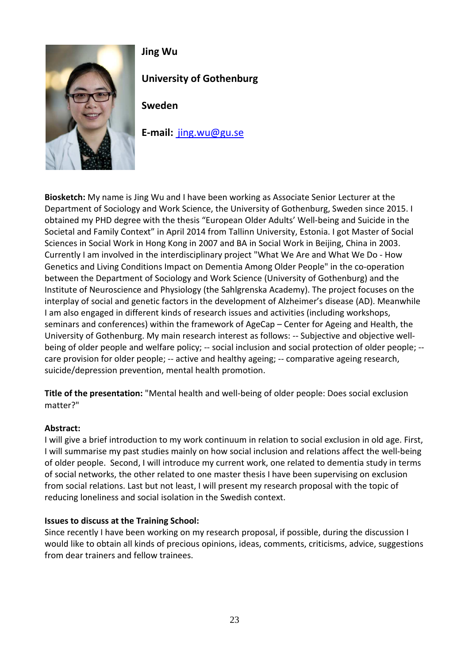

# **Jing Wu**

**University of Gothenburg** 

**Sweden** 

**E-mail:** jing.wu@gu.se

**Biosketch:** My name is Jing Wu and I have been working as Associate Senior Lecturer at the Department of Sociology and Work Science, the University of Gothenburg, Sweden since 2015. I obtained my PHD degree with the thesis "European Older Adults' Well-being and Suicide in the Societal and Family Context" in April 2014 from Tallinn University, Estonia. I got Master of Social Sciences in Social Work in Hong Kong in 2007 and BA in Social Work in Beijing, China in 2003. Currently I am involved in the interdisciplinary project "What We Are and What We Do - How Genetics and Living Conditions Impact on Dementia Among Older People" in the co-operation between the Department of Sociology and Work Science (University of Gothenburg) and the Institute of Neuroscience and Physiology (the Sahlgrenska Academy). The project focuses on the interplay of social and genetic factors in the development of Alzheimer's disease (AD). Meanwhile I am also engaged in different kinds of research issues and activities (including workshops, seminars and conferences) within the framework of AgeCap – Center for Ageing and Health, the University of Gothenburg. My main research interest as follows: -- Subjective and objective wellbeing of older people and welfare policy; -- social inclusion and social protection of older people; -care provision for older people; -- active and healthy ageing; -- comparative ageing research, suicide/depression prevention, mental health promotion.

**Title of the presentation:** "Mental health and well-being of older people: Does social exclusion matter?"

#### **Abstract:**

I will give a brief introduction to my work continuum in relation to social exclusion in old age. First, I will summarise my past studies mainly on how social inclusion and relations affect the well-being of older people. Second, I will introduce my current work, one related to dementia study in terms of social networks, the other related to one master thesis I have been supervising on exclusion from social relations. Last but not least, I will present my research proposal with the topic of reducing loneliness and social isolation in the Swedish context.

#### **Issues to discuss at the Training School:**

Since recently I have been working on my research proposal, if possible, during the discussion I would like to obtain all kinds of precious opinions, ideas, comments, criticisms, advice, suggestions from dear trainers and fellow trainees.